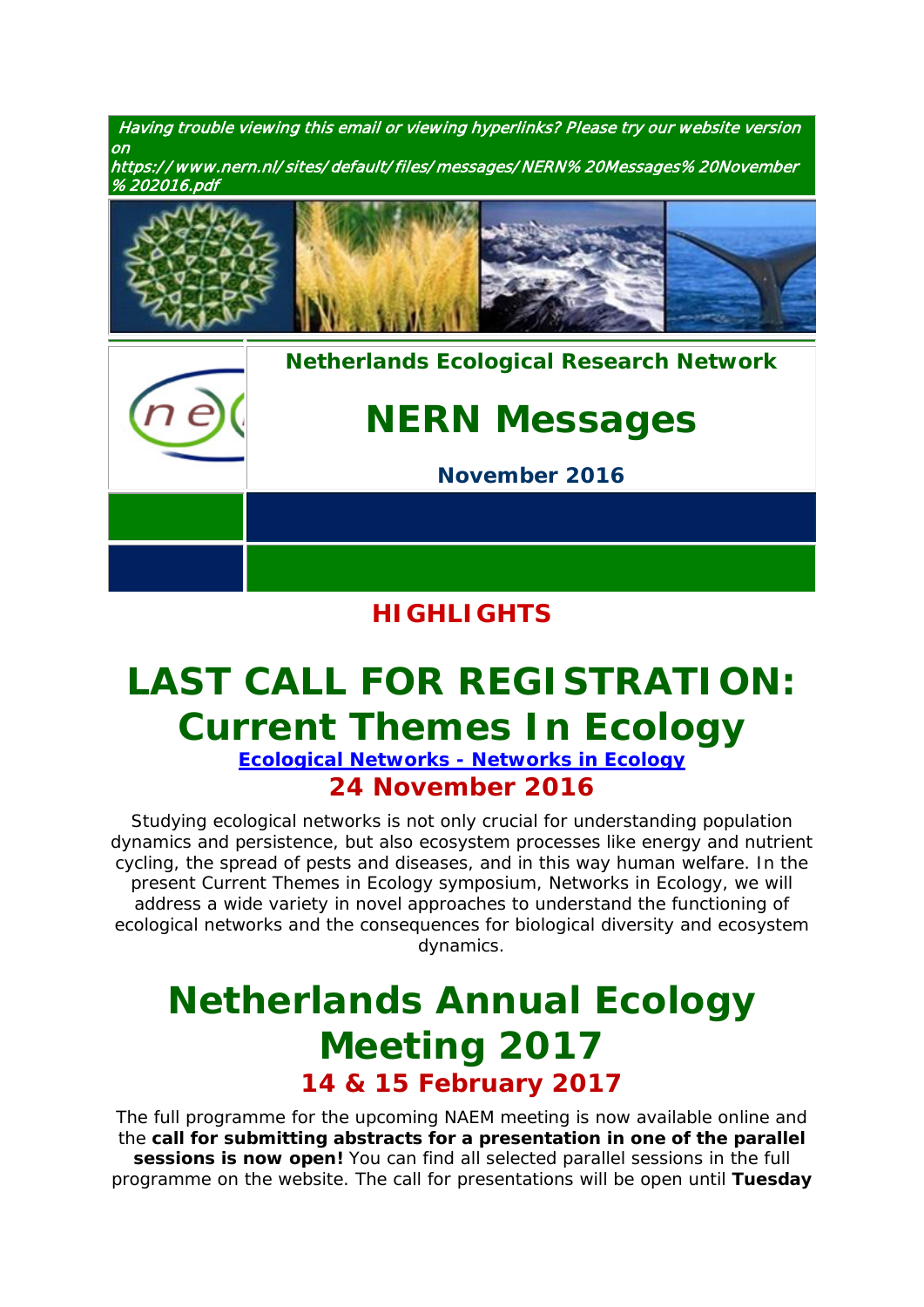Having trouble viewing this email or viewing hyperlinks? Please try our website version on https:/ / www.nern.nl/ sites/ default/ files/ messages/ NERN% 20Messages% 20November

% 202016.pdf



### **HIGHLIGHTS**

# **[LAST CALL FOR REGISTRATION:](https://www.nern.nl/CT2016)  [Current Themes In Ecology](https://www.nern.nl/CT2016)**

**[Ecological Networks -](https://www.nern.nl/CT2016) Networks in Ecology 24 November 2016**

Studying ecological networks is not only crucial for understanding population dynamics and persistence, but also ecosystem processes like energy and nutrient cycling, the spread of pests and diseases, and in this way human welfare. In the present Current Themes in Ecology symposium, Networks in Ecology, we will address a wide variety in novel approaches to understand the functioning of ecological networks and the consequences for biological diversity and ecosystem dynamics.

## **[Netherlands Annual Ecology](https://www.nern.nl/NAEM2017)  [Meeting](https://www.nern.nl/NAEM2017) 2017 14 & 15 February 2017**

The full programme for the upcoming NAEM meeting is now available online and the **call for submitting abstracts for a presentation in one of the parallel sessions is now open!** You can find all selected parallel sessions in the full programme on the website. The call for presentations will be open until **Tuesday**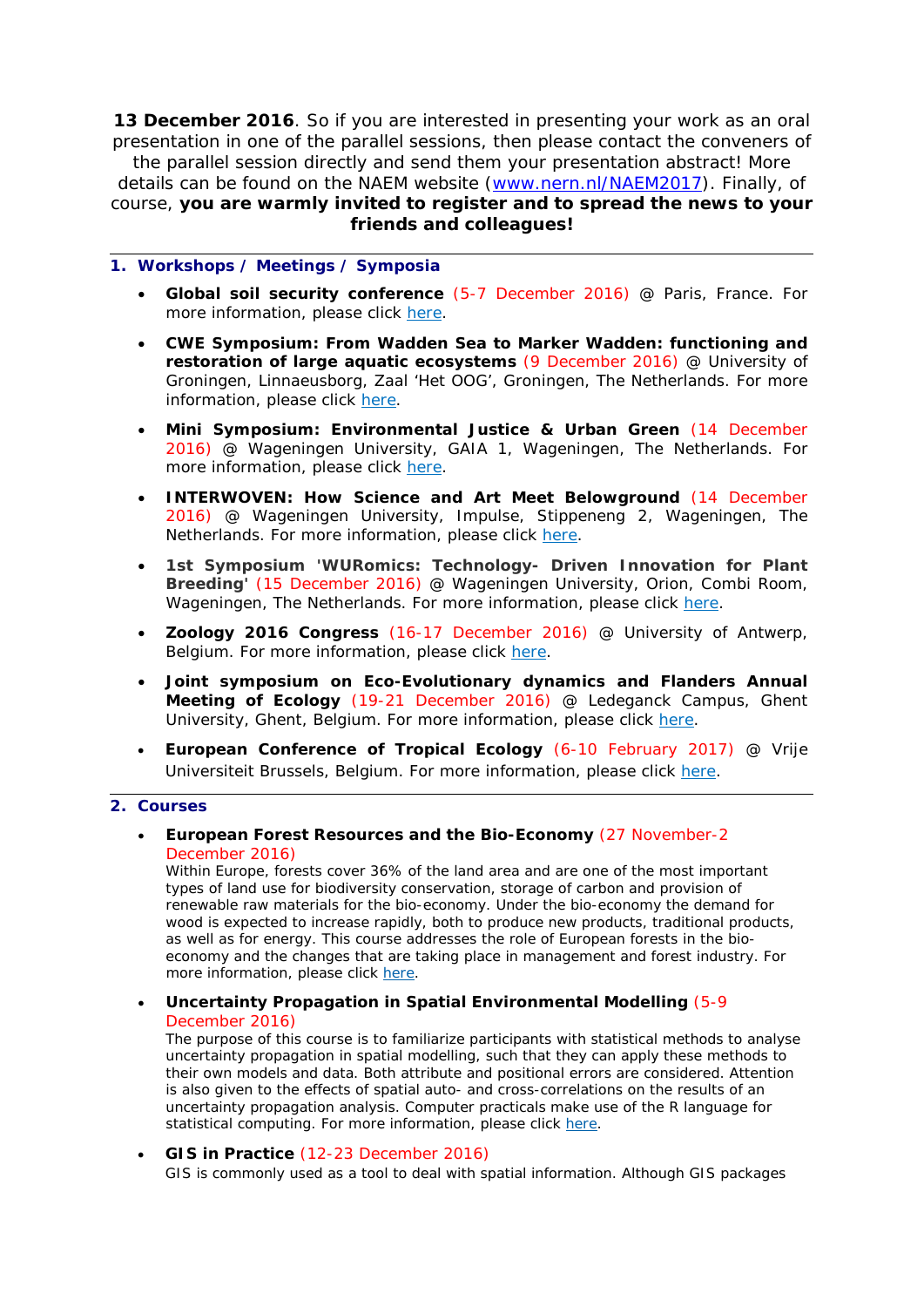**13 December 2016**. So if you are interested in presenting your work as an oral presentation in one of the parallel sessions, then please contact the conveners of the parallel session directly and send them your presentation abstract! More details can be found on the NAEM website [\(www.nern.nl/NAEM2017\)](http://www.nern.nl/NAEM2017). Finally, of course, **you are warmly invited to register and to spread the news to your friends and colleagues!**

#### **1. Workshops / Meetings / Symposia**

- **Global soil security conference** (5-7 December 2016) @ Paris, France. For more information, please click [here.](https://gssparisen.wordpress.com/)
- **CWE Symposium: From Wadden Sea to Marker Wadden: functioning and restoration of large aquatic ecosystems** (9 December 2016) @ University of Groningen, Linnaeusborg, Zaal 'Het OOG', Groningen, The Netherlands. For more information, please click [here.](https://www.wetland-ecology.nl/)
- **Mini Symposium: Environmental Justice & Urban Green** (14 December 2016) @ Wageningen University, GAIA 1, Wageningen, The Netherlands. For more information, please click [here.](https://www.nern.nl/sites/default/files/Mini-Symposium-%20Environmental%20Justice%20and%20Urban%20Green%2014%20Dec.pdf)
- **INTERWOVEN: How Science and Art Meet Belowground** (14 December 2016) @ Wageningen University, Impulse, Stippeneng 2, Wageningen, The Netherlands. For more information, please click [here.](https://www.pe-rc.nl/roots)
- **1st Symposium 'WURomics: Technology- Driven Innovation for Plant Breeding'** (15 December 2016) @ Wageningen University, Orion, Combi Room, Wageningen, The Netherlands. For more information, please click [here.](http://www.wur.nl/nl/Expertises-Dienstverlening/Onderzoeksinstituten/plant-research/show-4/1st-Symposium-WURomics-Technology-Driven-Innovation-for-Plant-Breeding-.htm)
- **Zoology 2016 Congress** (16-17 December 2016) @ University of Antwerp, Belgium. For more information, please click [here.](https://www.uantwerpen.be/en/conferences/zoology-2016/)
- **Joint symposium on Eco-Evolutionary dynamics and Flanders Annual Meeting of Ecology** (19-21 December 2016) @ Ledeganck Campus, Ghent University, Ghent, Belgium. For more information, please click [here.](http://www.ecology.ugent.be/evenet/symposium.php?page=symphome)
- **European Conference of Tropical Ecology** (6-10 February 2017) @ Vrije Universiteit Brussels, Belgium. For more information, please click [here.](http://www.soctropecol-2017.eu/index.php?cat=sessions)

#### **2. Courses**

• **European Forest Resources and the Bio-Economy** (27 November-2 December 2016)

*Within Europe, forests cover 36% of the land area and are one of the most important types of land use for biodiversity conservation, storage of carbon and provision of renewable raw materials for the bio-economy. Under the bio-economy the demand for wood is expected to increase rapidly, both to produce new products, traditional products, as well as for energy. This course addresses the role of European forests in the bioeconomy and the changes that are taking place in management and forest industry. For more information, please click [here.](https://www.pe-rc.nl/forest-resources)*

• **Uncertainty Propagation in Spatial Environmental Modelling** (5-9 December 2016)

*The purpose of this course is to familiarize participants with statistical methods to analyse uncertainty propagation in spatial modelling, such that they can apply these methods to their own models and data. Both attribute and positional errors are considered. Attention is also given to the effects of spatial auto- and cross-correlations on the results of an uncertainty propagation analysis. Computer practicals make use of the R language for statistical computing. For more information, please click [here.](https://www.pe-rc.nl/UPSEM)*

#### • **GIS in Practice** (12-23 December 2016) *GIS is commonly used as a tool to deal with spatial information. Although GIS packages*